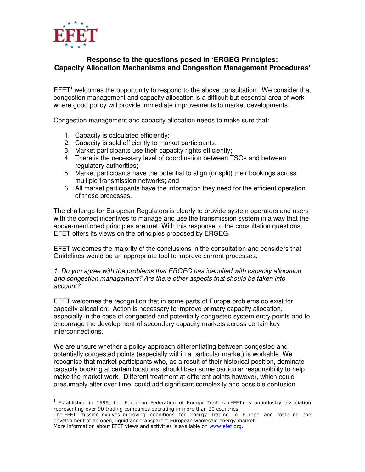

 $\overline{a}$ 

# **Response to the questions posed in 'ERGEG Principles: Capacity Allocation Mechanisms and Congestion Management Procedures'**

 $EFET<sup>1</sup>$  welcomes the opportunity to respond to the above consultation. We consider that congestion management and capacity allocation is a difficult but essential area of work where good policy will provide immediate improvements to market developments.

Congestion management and capacity allocation needs to make sure that:

- 1. Capacity is calculated efficiently;
- 2. Capacity is sold efficiently to market participants;
- 3. Market participants use their capacity rights efficiently;
- 4. There is the necessary level of coordination between TSOs and between regulatory authorities;
- 5. Market participants have the potential to align (or split) their bookings across multiple transmission networks; and
- 6. All market participants have the information they need for the efficient operation of these processes.

The challenge for European Regulators is clearly to provide system operators and users with the correct incentives to manage and use the transmission system in a way that the above-mentioned principles are met. With this response to the consultation questions, EFET offers its views on the principles proposed by ERGEG.

EFET welcomes the majority of the conclusions in the consultation and considers that Guidelines would be an appropriate tool to improve current processes.

1. Do you agree with the problems that ERGEG has identified with capacity allocation and congestion management? Are there other aspects that should be taken into account?

EFET welcomes the recognition that in some parts of Europe problems do exist for capacity allocation. Action is necessary to improve primary capacity allocation, especially in the case of congested and potentially congested system entry points and to encourage the development of secondary capacity markets across certain key interconnections.

We are unsure whether a policy approach differentiating between congested and potentially congested points (especially within a particular market) is workable. We recognise that market participants who, as a result of their historical position, dominate capacity booking at certain locations, should bear some particular responsibility to help make the market work. Different treatment at different points however, which could presumably alter over time, could add significant complexity and possible confusion.

 $1$  Established in 1999, the European Federation of Energy Traders (EFET) is an industry association representing over 90 trading companies operating in more than 20 countries.

The EFET mission involves improving conditions for energy trading in Europe and fostering the development of an open, liquid and transparent European wholesale energy market. More information about EFET views and activities is available on www.efet.org.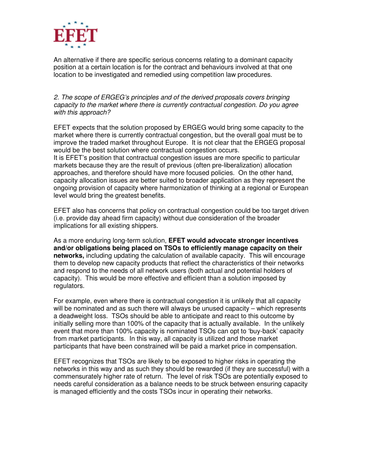

An alternative if there are specific serious concerns relating to a dominant capacity position at a certain location is for the contract and behaviours involved at that one location to be investigated and remedied using competition law procedures.

2. The scope of ERGEG's principles and of the derived proposals covers bringing capacity to the market where there is currently contractual congestion. Do you agree with this approach?

EFET expects that the solution proposed by ERGEG would bring some capacity to the market where there is currently contractual congestion, but the overall goal must be to improve the traded market throughout Europe. It is not clear that the ERGEG proposal would be the best solution where contractual congestion occurs.

It is EFET's position that contractual congestion issues are more specific to particular markets because they are the result of previous (often pre-liberalization) allocation approaches, and therefore should have more focused policies. On the other hand, capacity allocation issues are better suited to broader application as they represent the ongoing provision of capacity where harmonization of thinking at a regional or European level would bring the greatest benefits.

EFET also has concerns that policy on contractual congestion could be too target driven (i.e. provide day ahead firm capacity) without due consideration of the broader implications for all existing shippers.

As a more enduring long-term solution, **EFET would advocate stronger incentives and/or obligations being placed on TSOs to efficiently manage capacity on their networks,** including updating the calculation of available capacity. This will encourage them to develop new capacity products that reflect the characteristics of their networks and respond to the needs of all network users (both actual and potential holders of capacity). This would be more effective and efficient than a solution imposed by regulators.

For example, even where there is contractual congestion it is unlikely that all capacity will be nominated and as such there will always be unused capacity – which represents a deadweight loss. TSOs should be able to anticipate and react to this outcome by initially selling more than 100% of the capacity that is actually available. In the unlikely event that more than 100% capacity is nominated TSOs can opt to 'buy-back' capacity from market participants. In this way, all capacity is utilized and those market participants that have been constrained will be paid a market price in compensation.

EFET recognizes that TSOs are likely to be exposed to higher risks in operating the networks in this way and as such they should be rewarded (if they are successful) with a commensurately higher rate of return. The level of risk TSOs are potentially exposed to needs careful consideration as a balance needs to be struck between ensuring capacity is managed efficiently and the costs TSOs incur in operating their networks.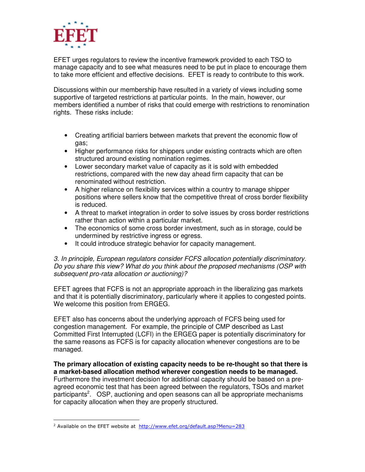

EFET urges regulators to review the incentive framework provided to each TSO to manage capacity and to see what measures need to be put in place to encourage them to take more efficient and effective decisions. EFET is ready to contribute to this work.

Discussions within our membership have resulted in a variety of views including some supportive of targeted restrictions at particular points. In the main, however, our members identified a number of risks that could emerge with restrictions to renomination rights. These risks include:

- Creating artificial barriers between markets that prevent the economic flow of gas;
- Higher performance risks for shippers under existing contracts which are often structured around existing nomination regimes.
- Lower secondary market value of capacity as it is sold with embedded restrictions, compared with the new day ahead firm capacity that can be renominated without restriction.
- A higher reliance on flexibility services within a country to manage shipper positions where sellers know that the competitive threat of cross border flexibility is reduced.
- A threat to market integration in order to solve issues by cross border restrictions rather than action within a particular market.
- The economics of some cross border investment, such as in storage, could be undermined by restrictive ingress or egress.
- It could introduce strategic behavior for capacity management.

3. In principle, European regulators consider FCFS allocation potentially discriminatory. Do you share this view? What do you think about the proposed mechanisms (OSP with subsequent pro-rata allocation or auctioning)?

EFET agrees that FCFS is not an appropriate approach in the liberalizing gas markets and that it is potentially discriminatory, particularly where it applies to congested points. We welcome this position from ERGEG.

EFET also has concerns about the underlying approach of FCFS being used for congestion management. For example, the principle of CMP described as Last Committed First Interrupted (LCFI) in the ERGEG paper is potentially discriminatory for the same reasons as FCFS is for capacity allocation whenever congestions are to be managed.

**The primary allocation of existing capacity needs to be re-thought so that there is a market-based allocation method wherever congestion needs to be managed.** Furthermore the investment decision for additional capacity should be based on a preagreed economic test that has been agreed between the regulators, TSOs and market participants<sup>2</sup>. OSP, auctioning and open seasons can all be appropriate mechanisms for capacity allocation when they are properly structured.

 $\overline{a}$ 

<sup>&</sup>lt;sup>2</sup> Available on the EFET website at http://www.efet.org/default.asp?Menu=283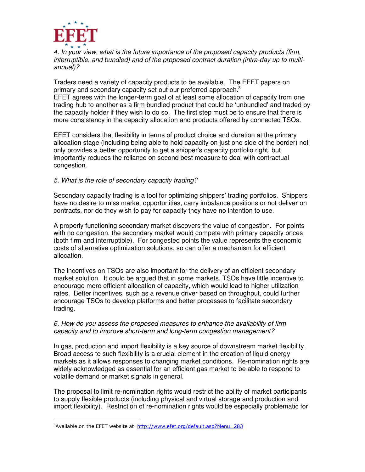

4. In your view, what is the future importance of the proposed capacity products (firm, interruptible, and bundled) and of the proposed contract duration (intra-day up to multiannual)?

Traders need a variety of capacity products to be available. The EFET papers on primary and secondary capacity set out our preferred approach.<sup>3</sup> EFET agrees with the longer-term goal of at least some allocation of capacity from one trading hub to another as a firm bundled product that could be 'unbundled' and traded by the capacity holder if they wish to do so. The first step must be to ensure that there is

more consistency in the capacity allocation and products offered by connected TSOs.

EFET considers that flexibility in terms of product choice and duration at the primary allocation stage (including being able to hold capacity on just one side of the border) not only provides a better opportunity to get a shipper's capacity portfolio right, but importantly reduces the reliance on second best measure to deal with contractual congestion.

# 5. What is the role of secondary capacity trading?

Secondary capacity trading is a tool for optimizing shippers' trading portfolios. Shippers have no desire to miss market opportunities, carry imbalance positions or not deliver on contracts, nor do they wish to pay for capacity they have no intention to use.

A properly functioning secondary market discovers the value of congestion. For points with no congestion, the secondary market would compete with primary capacity prices (both firm and interruptible). For congested points the value represents the economic costs of alternative optimization solutions, so can offer a mechanism for efficient allocation.

The incentives on TSOs are also important for the delivery of an efficient secondary market solution. It could be argued that in some markets, TSOs have little incentive to encourage more efficient allocation of capacity, which would lead to higher utilization rates. Better incentives, such as a revenue driver based on throughput, could further encourage TSOs to develop platforms and better processes to facilitate secondary trading.

#### 6. How do you assess the proposed measures to enhance the availability of firm capacity and to improve short-term and long-term congestion management?

In gas, production and import flexibility is a key source of downstream market flexibility. Broad access to such flexibility is a crucial element in the creation of liquid energy markets as it allows responses to changing market conditions. Re-nomination rights are widely acknowledged as essential for an efficient gas market to be able to respond to volatile demand or market signals in general.

The proposal to limit re-nomination rights would restrict the ability of market participants to supply flexible products (including physical and virtual storage and production and import flexibility). Restriction of re-nomination rights would be especially problematic for

 $\overline{a}$ 

<sup>&</sup>lt;sup>3</sup>Available on the EFET website at http://www.efet.org/default.asp?Menu=283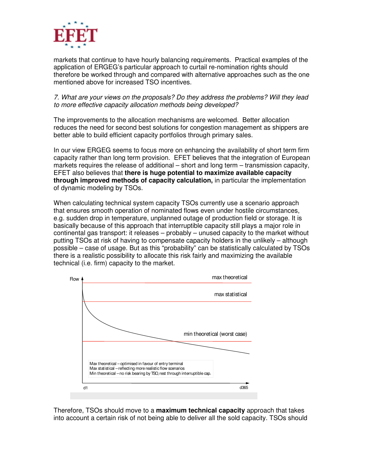

markets that continue to have hourly balancing requirements. Practical examples of the application of ERGEG's particular approach to curtail re-nomination rights should therefore be worked through and compared with alternative approaches such as the one mentioned above for increased TSO incentives.

7. What are your views on the proposals? Do they address the problems? Will they lead to more effective capacity allocation methods being developed?

The improvements to the allocation mechanisms are welcomed. Better allocation reduces the need for second best solutions for congestion management as shippers are better able to build efficient capacity portfolios through primary sales.

In our view ERGEG seems to focus more on enhancing the availability of short term firm capacity rather than long term provision. EFET believes that the integration of European markets requires the release of additional – short and long term – transmission capacity, EFET also believes that **there is huge potential to maximize available capacity through improved methods of capacity calculation,** in particular the implementation of dynamic modeling by TSOs.

When calculating technical system capacity TSOs currently use a scenario approach that ensures smooth operation of nominated flows even under hostile circumstances, e.g. sudden drop in temperature, unplanned outage of production field or storage. It is basically because of this approach that interruptible capacity still plays a major role in continental gas transport: it releases – probably – unused capacity to the market without putting TSOs at risk of having to compensate capacity holders in the unlikely – although possible – case of usage. But as this "probability" can be statistically calculated by TSOs there is a realistic possibility to allocate this risk fairly and maximizing the available technical (i.e. firm) capacity to the market.



Therefore, TSOs should move to a **maximum technical capacity** approach that takes into account a certain risk of not being able to deliver all the sold capacity. TSOs should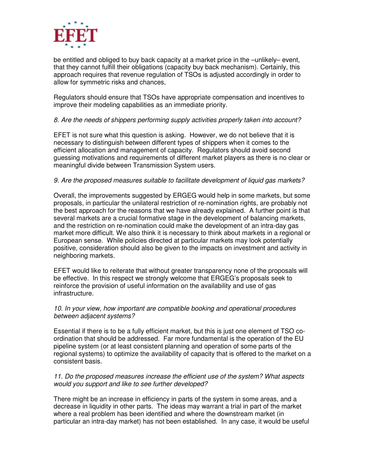

be entitled and obliged to buy back capacity at a market price in the –unlikely– event, that they cannot fulfill their obligations (capacity buy back mechanism). Certainly, this approach requires that revenue regulation of TSOs is adjusted accordingly in order to allow for symmetric risks and chances,

Regulators should ensure that TSOs have appropriate compensation and incentives to improve their modeling capabilities as an immediate priority.

## 8. Are the needs of shippers performing supply activities properly taken into account?

EFET is not sure what this question is asking. However, we do not believe that it is necessary to distinguish between different types of shippers when it comes to the efficient allocation and management of capacity. Regulators should avoid second guessing motivations and requirements of different market players as there is no clear or meaningful divide between Transmission System users.

#### 9. Are the proposed measures suitable to facilitate development of liquid gas markets?

Overall, the improvements suggested by ERGEG would help in some markets, but some proposals, in particular the unilateral restriction of re-nomination rights, are probably not the best approach for the reasons that we have already explained. A further point is that several markets are a crucial formative stage in the development of balancing markets, and the restriction on re-nomination could make the development of an intra-day gas market more difficult. We also think it is necessary to think about markets in a regional or European sense. While policies directed at particular markets may look potentially positive, consideration should also be given to the impacts on investment and activity in neighboring markets.

EFET would like to reiterate that without greater transparency none of the proposals will be effective. In this respect we strongly welcome that ERGEG's proposals seek to reinforce the provision of useful information on the availability and use of gas infrastructure.

#### 10. In your view, how important are compatible booking and operational procedures between adjacent systems?

Essential if there is to be a fully efficient market, but this is just one element of TSO coordination that should be addressed. Far more fundamental is the operation of the EU pipeline system (or at least consistent planning and operation of some parts of the regional systems) to optimize the availability of capacity that is offered to the market on a consistent basis.

#### 11. Do the proposed measures increase the efficient use of the system? What aspects would you support and like to see further developed?

There might be an increase in efficiency in parts of the system in some areas, and a decrease in liquidity in other parts. The ideas may warrant a trial in part of the market where a real problem has been identified and where the downstream market (in particular an intra-day market) has not been established. In any case, it would be useful